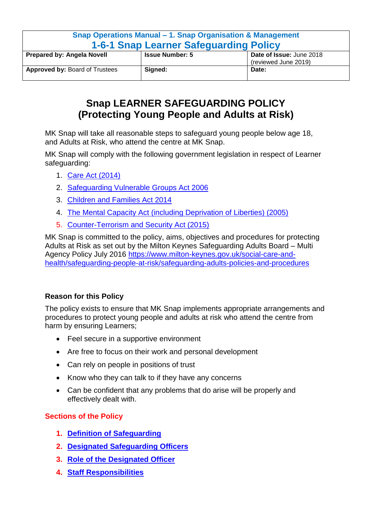| Snap Operations Manual – 1. Snap Organisation & Management<br><b>1-6-1 Snap Learner Safequarding Policy</b> |                                                                            |       |  |  |
|-------------------------------------------------------------------------------------------------------------|----------------------------------------------------------------------------|-------|--|--|
| <b>Prepared by: Angela Novell</b>                                                                           | Date of Issue: June 2018<br><b>Issue Number: 5</b><br>(reviewed June 2019) |       |  |  |
| <b>Approved by: Board of Trustees</b>                                                                       | Signed:                                                                    | Date: |  |  |

# **Snap LEARNER SAFEGUARDING POLICY (Protecting Young People and Adults at Risk)**

MK Snap will take all reasonable steps to safeguard young people below age 18, and Adults at Risk, who attend the centre at MK Snap.

MK Snap will comply with the following government legislation in respect of Learner safeguarding:

- 1. [Care Act \(2014\)](http://www.legislation.gov.uk/ukpga/2014/23/enacted)
- 2. [Safeguarding Vulnerable Groups Act 2006](http://www.legislation.gov.uk/ukpga/2006/47/pdfs/ukpga_20060047_en.pdf)
- 3. [Children and Families Act 2014](http://www.legislation.gov.uk/ukpga/2014/6/contents/enacted)
- 4. [The Mental Capacity Act \(including Deprivation of Liberties\) \(2005\)](http://www.legislation.gov.uk/ukpga/2005/9/contents)
- 5. [Counter-Terrorism and Security Act \(2015\)](http://www.legislation.gov.uk/ukpga/2015/6/contents/enacted/data.htm)

MK Snap is committed to the policy, aims, objectives and procedures for protecting Adults at Risk as set out by the Milton Keynes Safeguarding Adults Board – Multi Agency Policy July 2016 [https://www.milton-keynes.gov.uk/social-care-and](https://www.milton-keynes.gov.uk/social-care-and-health/safeguarding-people-at-risk/safeguarding-adults-policies-and-procedures)[health/safeguarding-people-at-risk/safeguarding-adults-policies-and-procedures](https://www.milton-keynes.gov.uk/social-care-and-health/safeguarding-people-at-risk/safeguarding-adults-policies-and-procedures)

# **Reason for this Policy**

The policy exists to ensure that MK Snap implements appropriate arrangements and procedures to protect young people and adults at risk who attend the centre from harm by ensuring Learners;

- Feel secure in a supportive environment
- Are free to focus on their work and personal development
- Can rely on people in positions of trust
- Know who they can talk to if they have any concerns
- Can be confident that any problems that do arise will be properly and effectively dealt with.

# **Sections of the Policy**

- **1. [Definition of Safeguarding](#page-1-0)**
- **2. [Designated Safeguarding Officers](#page-2-0)**
- **3. [Role of the Designated Officer](#page-2-1)**
- **4. [Staff Responsibilities](#page-3-0)**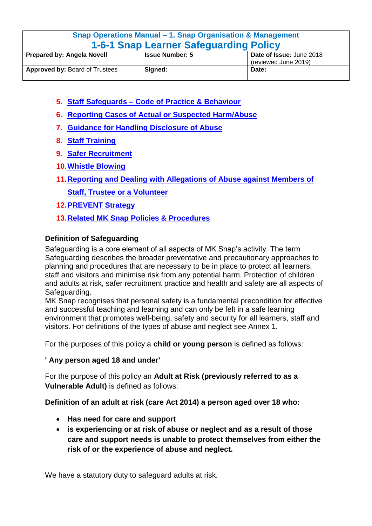| Snap Operations Manual - 1. Snap Organisation & Management |                                                    |       |  |
|------------------------------------------------------------|----------------------------------------------------|-------|--|
| <b>1-6-1 Snap Learner Safeguarding Policy</b>              |                                                    |       |  |
| <b>Prepared by: Angela Novell</b>                          | Date of Issue: June 2018<br><b>Issue Number: 5</b> |       |  |
|                                                            | (reviewed June 2019)                               |       |  |
| <b>Approved by: Board of Trustees</b>                      | Signed:                                            | Date: |  |

- **5. Staff Safeguards – [Code of Practice & Behaviour](#page-3-1)**
- **6. [Reporting Cases of Actual or Suspected Harm/Abuse](#page-5-0)**
- **7. [Guidance for Handling Disclosure of Abuse](#page-6-0)**
- **8. [Staff Training](#page-6-1)**
- **9. Safer Recruitment**
- **10.Whistle Blowing**
- **[11.Reporting and Dealing with Allegations of Abuse against Members of](#page-7-0)  [Staff,](#page-7-0) Trustee or a Volunteer**
- **12[.PREVENT Strategy](#page-7-1)**
- **13[.Related MK Snap Policies & Procedures](#page-8-0)**

# <span id="page-1-0"></span>**Definition of Safeguarding**

Safeguarding is a core element of all aspects of MK Snap's activity. The term Safeguarding describes the broader preventative and precautionary approaches to planning and procedures that are necessary to be in place to protect all learners, staff and visitors and minimise risk from any potential harm. Protection of children and adults at risk, safer recruitment practice and health and safety are all aspects of Safeguarding.

MK Snap recognises that personal safety is a fundamental precondition for effective and successful teaching and learning and can only be felt in a safe learning environment that promotes well-being, safety and security for all learners, staff and visitors. For definitions of the types of abuse and neglect see Annex 1.

For the purposes of this policy a **child or young person** is defined as follows:

# **' Any person aged 18 and under'**

For the purpose of this policy an **Adult at Risk (previously referred to as a Vulnerable Adult)** is defined as follows:

**Definition of an adult at risk (care Act 2014) a person aged over 18 who:**

- **Has need for care and support**
- **is experiencing or at risk of abuse or neglect and as a result of those care and support needs is unable to protect themselves from either the risk of or the experience of abuse and neglect.**

We have a statutory duty to safeguard adults at risk.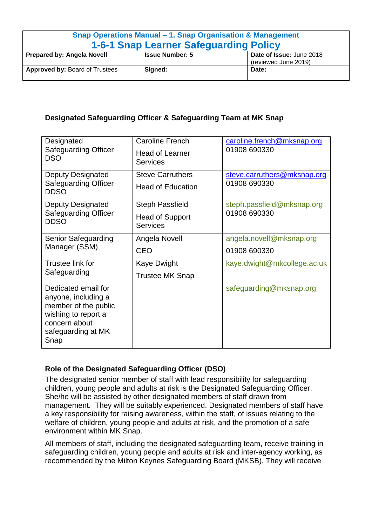| Snap Operations Manual – 1. Snap Organisation & Management<br><b>1-6-1 Snap Learner Safequarding Policy</b> |                        |                                                  |
|-------------------------------------------------------------------------------------------------------------|------------------------|--------------------------------------------------|
| <b>Prepared by: Angela Novell</b>                                                                           | <b>Issue Number: 5</b> | Date of Issue: June 2018<br>(reviewed June 2019) |
| <b>Approved by: Board of Trustees</b>                                                                       | Signed:                | Date:                                            |

# <span id="page-2-0"></span>**Designated Safeguarding Officer & Safeguarding Team at MK Snap**

| Designated<br><b>Safeguarding Officer</b><br><b>DSO</b>                                                                                  | <b>Caroline French</b><br><b>Head of Learner</b><br><b>Services</b> | caroline.french@mksnap.org<br>01908 690330  |
|------------------------------------------------------------------------------------------------------------------------------------------|---------------------------------------------------------------------|---------------------------------------------|
| <b>Deputy Designated</b><br><b>Safeguarding Officer</b><br><b>DDSO</b>                                                                   | <b>Steve Carruthers</b><br><b>Head of Education</b>                 | steve.carruthers@mksnap.org<br>01908 690330 |
| <b>Deputy Designated</b><br><b>Safeguarding Officer</b><br><b>DDSO</b>                                                                   | <b>Steph Passfield</b><br><b>Head of Support</b><br><b>Services</b> | steph.passfield@mksnap.org<br>01908 690330  |
| Senior Safeguarding<br>Manager (SSM)                                                                                                     | Angela Novell<br>CEO                                                | angela.novell@mksnap.org<br>01908 690330    |
| Trustee link for<br>Safeguarding                                                                                                         | Kaye Dwight<br>Trustee MK Snap                                      | kaye.dwight@mkcollege.ac.uk                 |
| Dedicated email for<br>anyone, including a<br>member of the public<br>wishing to report a<br>concern about<br>safeguarding at MK<br>Snap |                                                                     | safeguarding@mksnap.org                     |

# <span id="page-2-1"></span>**Role of the Designated Safeguarding Officer (DSO)**

The designated senior member of staff with lead responsibility for safeguarding children, young people and adults at risk is the Designated Safeguarding Officer. She/he will be assisted by other designated members of staff drawn from management. They will be suitably experienced. Designated members of staff have a key responsibility for raising awareness, within the staff, of issues relating to the welfare of children, young people and adults at risk, and the promotion of a safe environment within MK Snap.

All members of staff, including the designated safeguarding team, receive training in safeguarding children, young people and adults at risk and inter-agency working, as recommended by the Milton Keynes Safeguarding Board (MKSB). They will receive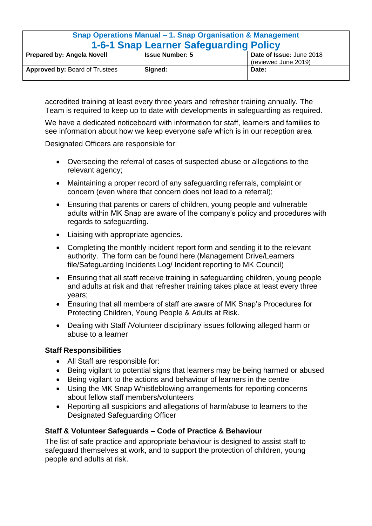| Snap Operations Manual - 1. Snap Organisation & Management<br><b>1-6-1 Snap Learner Safeguarding Policy</b> |                                                    |                      |  |
|-------------------------------------------------------------------------------------------------------------|----------------------------------------------------|----------------------|--|
|                                                                                                             |                                                    |                      |  |
| <b>Prepared by: Angela Novell</b>                                                                           | <b>Issue Number: 5</b><br>Date of Issue: June 2018 |                      |  |
|                                                                                                             |                                                    | (reviewed June 2019) |  |
| <b>Approved by: Board of Trustees</b>                                                                       | Signed:                                            | Date:                |  |
|                                                                                                             |                                                    |                      |  |

accredited training at least every three years and refresher training annually. The Team is required to keep up to date with developments in safeguarding as required.

We have a dedicated noticeboard with information for staff, learners and families to see information about how we keep everyone safe which is in our reception area

Designated Officers are responsible for:

- Overseeing the referral of cases of suspected abuse or allegations to the relevant agency;
- Maintaining a proper record of any safeguarding referrals, complaint or concern (even where that concern does not lead to a referral);
- Ensuring that parents or carers of children, young people and vulnerable adults within MK Snap are aware of the company's policy and procedures with regards to safeguarding.
- Liaising with appropriate agencies.
- Completing the monthly incident report form and sending it to the relevant authority. The form can be found here.(Management Drive/Learners file/Safeguarding Incidents Log/ Incident reporting to MK Council)
- Ensuring that all staff receive training in safeguarding children, young people and adults at risk and that refresher training takes place at least every three years;
- Ensuring that all members of staff are aware of MK Snap's Procedures for Protecting Children, Young People & Adults at Risk.
- Dealing with Staff /Volunteer disciplinary issues following alleged harm or abuse to a learner

## <span id="page-3-0"></span>**Staff Responsibilities**

- All Staff are responsible for:
- Being vigilant to potential signs that learners may be being harmed or abused
- Being vigilant to the actions and behaviour of learners in the centre
- Using the MK Snap Whistleblowing arrangements for reporting concerns about fellow staff members/volunteers
- Reporting all suspicions and allegations of harm/abuse to learners to the Designated Safeguarding Officer

# <span id="page-3-1"></span>**Staff & Volunteer Safeguards – Code of Practice & Behaviour**

The list of safe practice and appropriate behaviour is designed to assist staff to safeguard themselves at work, and to support the protection of children, young people and adults at risk.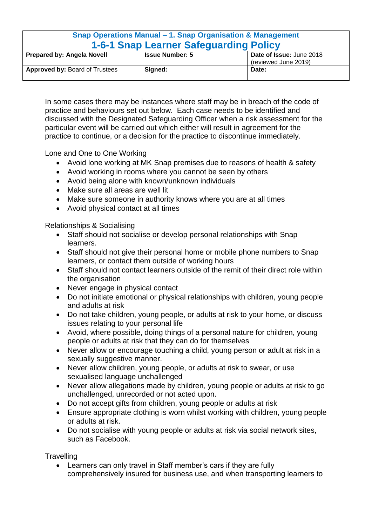| Snap Operations Manual – 1. Snap Organisation & Management |                                                    |                      |  |
|------------------------------------------------------------|----------------------------------------------------|----------------------|--|
| 1-6-1 Snap Learner Safeguarding Policy                     |                                                    |                      |  |
| <b>Prepared by: Angela Novell</b>                          | Date of Issue: June 2018<br><b>Issue Number: 5</b> |                      |  |
|                                                            |                                                    | (reviewed June 2019) |  |
| <b>Approved by: Board of Trustees</b>                      | Signed:                                            | Date:                |  |

In some cases there may be instances where staff may be in breach of the code of practice and behaviours set out below. Each case needs to be identified and discussed with the Designated Safeguarding Officer when a risk assessment for the particular event will be carried out which either will result in agreement for the practice to continue, or a decision for the practice to discontinue immediately.

Lone and One to One Working

- Avoid lone working at MK Snap premises due to reasons of health & safety
- Avoid working in rooms where you cannot be seen by others
- Avoid being alone with known/unknown individuals
- Make sure all areas are well lit
- Make sure someone in authority knows where you are at all times
- Avoid physical contact at all times

Relationships & Socialising

- Staff should not socialise or develop personal relationships with Snap learners.
- Staff should not give their personal home or mobile phone numbers to Snap learners, or contact them outside of working hours
- Staff should not contact learners outside of the remit of their direct role within the organisation
- Never engage in physical contact
- Do not initiate emotional or physical relationships with children, young people and adults at risk
- Do not take children, young people, or adults at risk to your home, or discuss issues relating to your personal life
- Avoid, where possible, doing things of a personal nature for children, young people or adults at risk that they can do for themselves
- Never allow or encourage touching a child, young person or adult at risk in a sexually suggestive manner.
- Never allow children, young people, or adults at risk to swear, or use sexualised language unchallenged
- Never allow allegations made by children, young people or adults at risk to go unchallenged, unrecorded or not acted upon.
- Do not accept gifts from children, young people or adults at risk
- Ensure appropriate clothing is worn whilst working with children, young people or adults at risk.
- Do not socialise with young people or adults at risk via social network sites, such as Facebook.

**Travelling** 

 Learners can only travel in Staff member's cars if they are fully comprehensively insured for business use, and when transporting learners to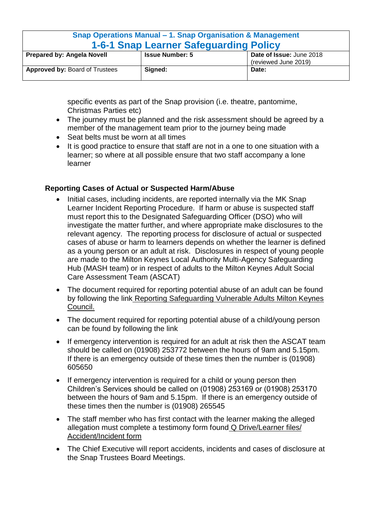| Snap Operations Manual – 1. Snap Organisation & Management |                                                    |                      |
|------------------------------------------------------------|----------------------------------------------------|----------------------|
| <b>1-6-1 Snap Learner Safeguarding Policy</b>              |                                                    |                      |
| <b>Prepared by: Angela Novell</b>                          | Date of Issue: June 2018<br><b>Issue Number: 5</b> |                      |
|                                                            |                                                    | (reviewed June 2019) |
| <b>Approved by: Board of Trustees</b>                      | Signed:                                            | Date:                |

specific events as part of the Snap provision (i.e. theatre, pantomime, Christmas Parties etc)

- The journey must be planned and the risk assessment should be agreed by a member of the management team prior to the journey being made
- Seat belts must be worn at all times
- It is good practice to ensure that staff are not in a one to one situation with a learner; so where at all possible ensure that two staff accompany a lone learner

## <span id="page-5-0"></span>**Reporting Cases of Actual or Suspected Harm/Abuse**

- Initial cases, including incidents, are reported internally via the MK Snap Learner Incident Reporting Procedure. If harm or abuse is suspected staff must report this to the Designated Safeguarding Officer (DSO) who will investigate the matter further, and where appropriate make disclosures to the relevant agency. The reporting process for disclosure of actual or suspected cases of abuse or harm to learners depends on whether the learner is defined as a young person or an adult at risk. Disclosures in respect of young people are made to the Milton Keynes Local Authority Multi-Agency Safeguarding Hub (MASH team) or in respect of adults to the Milton Keynes Adult Social Care Assessment Team (ASCAT)
- The document required for reporting potential abuse of an adult can be found by following the link Reporting Safeguarding Vulnerable Adults Milton Keynes Council.
- The document required for reporting potential abuse of a child/young person can be found by following the link
- If emergency intervention is required for an adult at risk then the ASCAT team should be called on (01908) 253772 between the hours of 9am and 5.15pm. If there is an emergency outside of these times then the number is (01908) 605650
- If emergency intervention is required for a child or young person then Children's Services should be called on (01908) 253169 or (01908) 253170 between the hours of 9am and 5.15pm. If there is an emergency outside of these times then the number is (01908) 265545
- The staff member who has first contact with the learner making the alleged allegation must complete a testimony form found Q Drive/Learner files/ Accident/Incident form
- The Chief Executive will report accidents, incidents and cases of disclosure at the Snap Trustees Board Meetings.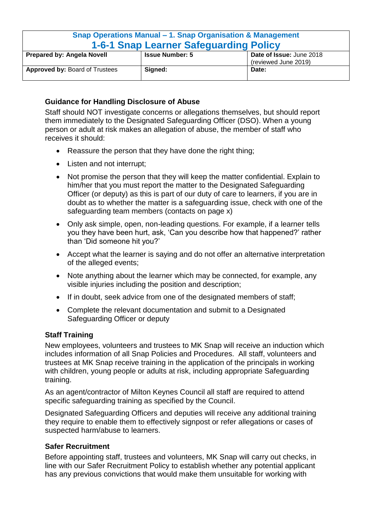| Snap Operations Manual – 1. Snap Organisation & Management |                                                                            |       |  |
|------------------------------------------------------------|----------------------------------------------------------------------------|-------|--|
| <b>1-6-1 Snap Learner Safequarding Policy</b>              |                                                                            |       |  |
| <b>Prepared by: Angela Novell</b>                          | Date of Issue: June 2018<br><b>Issue Number: 5</b><br>(reviewed June 2019) |       |  |
| <b>Approved by: Board of Trustees</b>                      | Signed:                                                                    | Date: |  |

## <span id="page-6-0"></span>**Guidance for Handling Disclosure of Abuse**

Staff should NOT investigate concerns or allegations themselves, but should report them immediately to the Designated Safeguarding Officer (DSO). When a young person or adult at risk makes an allegation of abuse, the member of staff who receives it should:

- Reassure the person that they have done the right thing;
- Listen and not interrupt:
- Not promise the person that they will keep the matter confidential. Explain to him/her that you must report the matter to the Designated Safeguarding Officer (or deputy) as this is part of our duty of care to learners, if you are in doubt as to whether the matter is a safeguarding issue, check with one of the safeguarding team members (contacts on page x)
- Only ask simple, open, non-leading questions. For example, if a learner tells you they have been hurt, ask, 'Can you describe how that happened?' rather than 'Did someone hit you?'
- Accept what the learner is saying and do not offer an alternative interpretation of the alleged events;
- Note anything about the learner which may be connected, for example, any visible injuries including the position and description;
- If in doubt, seek advice from one of the designated members of staff;
- Complete the relevant documentation and submit to a Designated Safeguarding Officer or deputy

# <span id="page-6-1"></span>**Staff Training**

New employees, volunteers and trustees to MK Snap will receive an induction which includes information of all Snap Policies and Procedures. All staff, volunteers and trustees at MK Snap receive training in the application of the principals in working with children, young people or adults at risk, including appropriate Safeguarding training.

As an agent/contractor of Milton Keynes Council all staff are required to attend specific safeguarding training as specified by the Council.

Designated Safeguarding Officers and deputies will receive any additional training they require to enable them to effectively signpost or refer allegations or cases of suspected harm/abuse to learners.

## **Safer Recruitment**

Before appointing staff, trustees and volunteers, MK Snap will carry out checks, in line with our Safer Recruitment Policy to establish whether any potential applicant has any previous convictions that would make them unsuitable for working with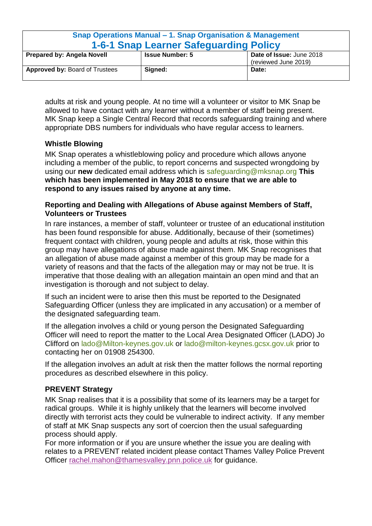| Snap Operations Manual – 1. Snap Organisation & Management |                                                                            |       |  |
|------------------------------------------------------------|----------------------------------------------------------------------------|-------|--|
| <b>1-6-1 Snap Learner Safeguarding Policy</b>              |                                                                            |       |  |
| <b>Prepared by: Angela Novell</b>                          | Date of Issue: June 2018<br><b>Issue Number: 5</b><br>(reviewed June 2019) |       |  |
| <b>Approved by: Board of Trustees</b>                      | Signed:                                                                    | Date: |  |

adults at risk and young people. At no time will a volunteer or visitor to MK Snap be allowed to have contact with any learner without a member of staff being present. MK Snap keep a Single Central Record that records safeguarding training and where appropriate DBS numbers for individuals who have regular access to learners.

# **Whistle Blowing**

MK Snap operates a whistleblowing policy and procedure which allows anyone including a member of the public, to report concerns and suspected wrongdoing by using our **new** dedicated email address which is [safeguarding@mksnap.org](mailto:safeguarding@mksnap.org) **This which has been implemented in May 2018 to ensure that we are able to respond to any issues raised by anyone at any time.**

## <span id="page-7-0"></span>**Reporting and Dealing with Allegations of Abuse against Members of Staff, Volunteers or Trustees**

In rare instances, a member of staff, volunteer or trustee of an educational institution has been found responsible for abuse. Additionally, because of their (sometimes) frequent contact with children, young people and adults at risk, those within this group may have allegations of abuse made against them. MK Snap recognises that an allegation of abuse made against a member of this group may be made for a variety of reasons and that the facts of the allegation may or may not be true. It is imperative that those dealing with an allegation maintain an open mind and that an investigation is thorough and not subject to delay.

If such an incident were to arise then this must be reported to the Designated Safeguarding Officer (unless they are implicated in any accusation) or a member of the designated safeguarding team.

If the allegation involves a child or young person the Designated Safeguarding Officer will need to report the matter to the Local Area Designated Officer (LADO) Jo Clifford on [lado@Milton-keynes.gov.uk](mailto:lado@Milton-keynes.gov.uk) or [lado@milton-keynes.gcsx.gov.uk](mailto:lado@milton-keynes.gcsx.gov.uk) prior to contacting her on 01908 254300.

If the allegation involves an adult at risk then the matter follows the normal reporting procedures as described elsewhere in this policy.

## <span id="page-7-1"></span>**PREVENT Strategy**

MK Snap realises that it is a possibility that some of its learners may be a target for radical groups. While it is highly unlikely that the learners will become involved directly with terrorist acts they could be vulnerable to indirect activity. If any member of staff at MK Snap suspects any sort of coercion then the usual safeguarding process should apply.

For more information or if you are unsure whether the issue you are dealing with relates to a PREVENT related incident please contact Thames Valley Police Prevent Officer [rachel.mahon@thamesvalley.pnn.police.uk](mailto:rachel.mahon@thamesvalley.pnn.police.uk) for guidance.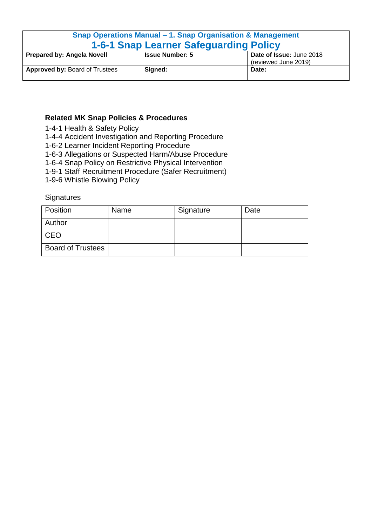| Snap Operations Manual – 1. Snap Organisation & Management |                                                    |                      |  |
|------------------------------------------------------------|----------------------------------------------------|----------------------|--|
| <b>1-6-1 Snap Learner Safequarding Policy</b>              |                                                    |                      |  |
| <b>Prepared by: Angela Novell</b>                          | Date of Issue: June 2018<br><b>Issue Number: 5</b> |                      |  |
|                                                            |                                                    | (reviewed June 2019) |  |
| <b>Approved by: Board of Trustees</b>                      | Signed:                                            | Date:                |  |

# <span id="page-8-0"></span>**Related MK Snap Policies & Procedures**

- 1-4-1 Health & Safety Policy
- 1-4-4 Accident Investigation and Reporting Procedure
- 1-6-2 Learner Incident Reporting Procedure
- 1-6-3 Allegations or Suspected Harm/Abuse Procedure
- 1-6-4 Snap Policy on Restrictive Physical Intervention
- 1-9-1 Staff Recruitment Procedure (Safer Recruitment)
- 1-9-6 Whistle Blowing Policy

**Signatures** 

| <b>Position</b>          | Name | Signature | Date |
|--------------------------|------|-----------|------|
| Author                   |      |           |      |
| <b>CEO</b>               |      |           |      |
| <b>Board of Trustees</b> |      |           |      |